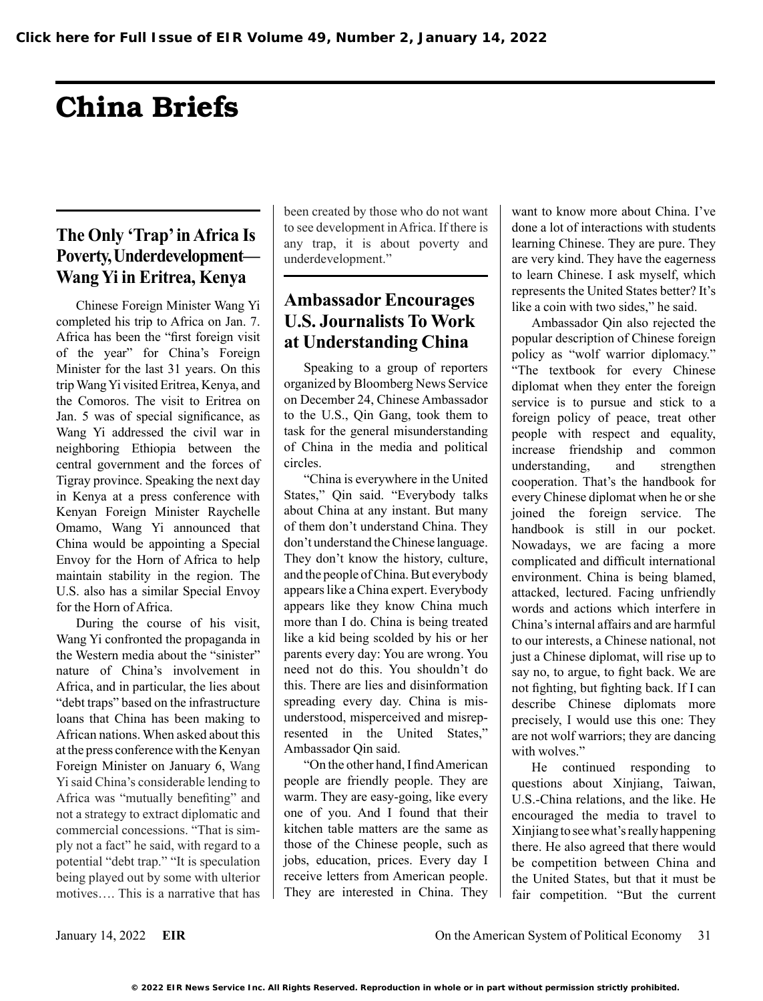# China Briefs

## **The Only 'Trap' in Africa Is Poverty, Underdevelopment— Wang Yi in Eritrea, Kenya**

Chinese Foreign Minister Wang Yi completed his trip to Africa on Jan. 7. Africa has been the "first foreign visit of the year" for China's Foreign Minister for the last 31 years. On this trip Wang Yi visited Eritrea, Kenya, and the Comoros. The visit to Eritrea on Jan. 5 was of special significance, as Wang Yi addressed the civil war in neighboring Ethiopia between the central government and the forces of Tigray province. Speaking the next day in Kenya at a press conference with Kenyan Foreign Minister Raychelle Omamo, Wang Yi announced that China would be appointing a Special Envoy for the Horn of Africa to help maintain stability in the region. The U.S. also has a similar Special Envoy for the Horn of Africa.

During the course of his visit, Wang Yi confronted the propaganda in the Western media about the "sinister" nature of China's involvement in Africa, and in particular, the lies about "debt traps" based on the infrastructure loans that China has been making to African nations. When asked about this at the press conference with the Kenyan Foreign Minister on January 6, Wang Yi said China's considerable lending to Africa was "mutually benefiting" and not a strategy to extract diplomatic and commercial concessions. "That is simply not a fact" he said, with regard to a potential "debt trap." "It is speculation being played out by some with ulterior motives…. This is a narrative that has been created by those who do not want to see development in Africa. If there is any trap, it is about poverty and underdevelopment."

#### **Ambassador Encourages U.S. Journalists To Work at Understanding China**

Speaking to a group of reporters organized by Bloomberg News Service on December 24, Chinese Ambassador to the U.S., Qin Gang, took them to task for the general misunderstanding of China in the media and political circles.

"China is everywhere in the United States," Qin said. "Everybody talks about China at any instant. But many of them don't understand China. They don't understand the Chinese language. They don't know the history, culture, and the people of China. But everybody appears like a China expert. Everybody appears like they know China much more than I do. China is being treated like a kid being scolded by his or her parents every day: You are wrong. You need not do this. You shouldn't do this. There are lies and disinformation spreading every day. China is misunderstood, misperceived and misrepresented in the United States," Ambassador Qin said.

"On the other hand, I find American people are friendly people. They are warm. They are easy-going, like every one of you. And I found that their kitchen table matters are the same as those of the Chinese people, such as jobs, education, prices. Every day I receive letters from American people. They are interested in China. They want to know more about China. I've done a lot of interactions with students learning Chinese. They are pure. They are very kind. They have the eagerness to learn Chinese. I ask myself, which represents the United States better? It's like a coin with two sides," he said.

Ambassador Qin also rejected the popular description of Chinese foreign policy as "wolf warrior diplomacy." "The textbook for every Chinese diplomat when they enter the foreign service is to pursue and stick to a foreign policy of peace, treat other people with respect and equality, increase friendship and common understanding, and strengthen cooperation. That's the handbook for every Chinese diplomat when he or she joined the foreign service. The handbook is still in our pocket. Nowadays, we are facing a more complicated and difficult international environment. China is being blamed, attacked, lectured. Facing unfriendly words and actions which interfere in China's internal affairs and are harmful to our interests, a Chinese national, not just a Chinese diplomat, will rise up to say no, to argue, to fight back. We are not fighting, but fighting back. If I can describe Chinese diplomats more precisely, I would use this one: They are not wolf warriors; they are dancing with wolves."

He continued responding to questions about Xinjiang, Taiwan, U.S.-China relations, and the like. He encouraged the media to travel to Xinjiang to see what's really happening there. He also agreed that there would be competition between China and the United States, but that it must be fair competition. "But the current